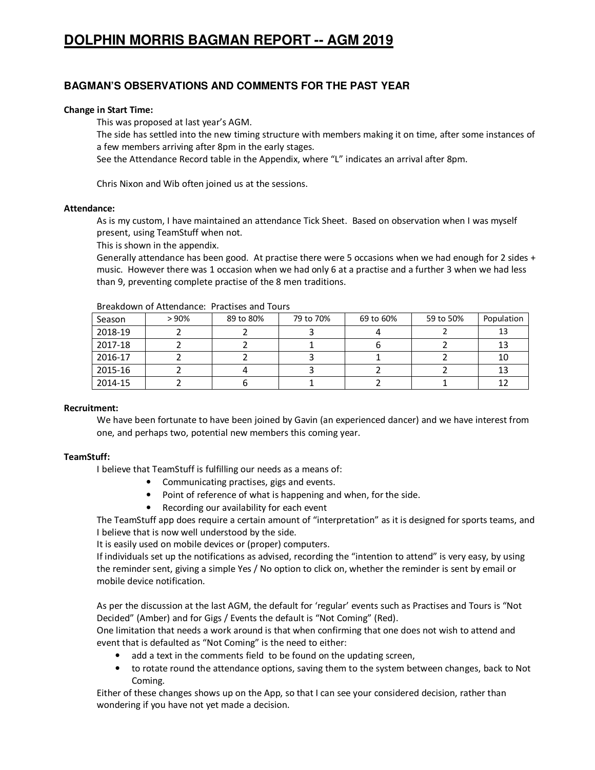# **DOLPHIN MORRIS BAGMAN REPORT -- AGM 2019**

# **BAGMAN'S OBSERVATIONS AND COMMENTS FOR THE PAST YEAR**

# **Change in Start Time:**

This was proposed at last year's AGM.

The side has settled into the new timing structure with members making it on time, after some instances of a few members arriving after 8pm in the early stages.

See the Attendance Record table in the Appendix, where "L" indicates an arrival after 8pm.

Chris Nixon and Wib often joined us at the sessions.

### **Attendance:**

As is my custom, I have maintained an attendance Tick Sheet. Based on observation when I was myself present, using TeamStuff when not.

This is shown in the appendix.

Generally attendance has been good. At practise there were 5 occasions when we had enough for 2 sides + music. However there was 1 occasion when we had only 6 at a practise and a further 3 when we had less than 9, preventing complete practise of the 8 men traditions.

| DI CANUVIU UI ALLCIIUAIILE. FIALLISCS AIIU TUUIS |      |           |           |           |           |            |  |  |
|--------------------------------------------------|------|-----------|-----------|-----------|-----------|------------|--|--|
| Season                                           | >90% | 89 to 80% | 79 to 70% | 69 to 60% | 59 to 50% | Population |  |  |
| 2018-19                                          |      |           |           |           |           | 13         |  |  |
| 2017-18                                          |      |           |           |           |           | 13         |  |  |
| 2016-17                                          |      |           |           |           |           | 10         |  |  |
| 2015-16                                          |      |           |           |           |           | 13         |  |  |
| 2014-15                                          |      |           |           |           |           | 12         |  |  |

Breakdown of Attendance: Practises and Tours

# **Recruitment:**

We have been fortunate to have been joined by Gavin (an experienced dancer) and we have interest from one, and perhaps two, potential new members this coming year.

# **TeamStuff:**

I believe that TeamStuff is fulfilling our needs as a means of:

- Communicating practises, gigs and events.
- Point of reference of what is happening and when, for the side.
- Recording our availability for each event

The TeamStuff app does require a certain amount of "interpretation" as it is designed for sports teams, and I believe that is now well understood by the side.

It is easily used on mobile devices or (proper) computers.

If individuals set up the notifications as advised, recording the "intention to attend" is very easy, by using the reminder sent, giving a simple Yes / No option to click on, whether the reminder is sent by email or mobile device notification.

As per the discussion at the last AGM, the default for 'regular' events such as Practises and Tours is "Not Decided" (Amber) and for Gigs / Events the default is "Not Coming" (Red).

One limitation that needs a work around is that when confirming that one does not wish to attend and event that is defaulted as "Not Coming" is the need to either:

- add a text in the comments field to be found on the updating screen,
- to rotate round the attendance options, saving them to the system between changes, back to Not Coming.

Either of these changes shows up on the App, so that I can see your considered decision, rather than wondering if you have not yet made a decision.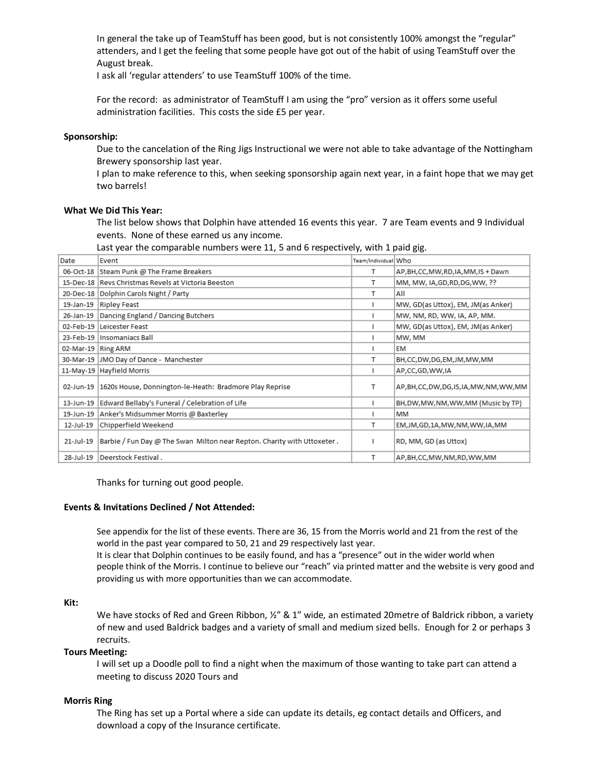In general the take up of TeamStuff has been good, but is not consistently 100% amongst the "regular" attenders, and I get the feeling that some people have got out of the habit of using TeamStuff over the August break.

I ask all 'regular attenders' to use TeamStuff 100% of the time.

For the record: as administrator of TeamStuff I am using the "pro" version as it offers some useful administration facilities. This costs the side £5 per year.

#### **Sponsorship:**

Due to the cancelation of the Ring Jigs Instructional we were not able to take advantage of the Nottingham Brewery sponsorship last year.

I plan to make reference to this, when seeking sponsorship again next year, in a faint hope that we may get two barrels!

#### **What We Did This Year:**

The list below shows that Dolphin have attended 16 events this year. 7 are Team events and 9 Individual events. None of these earned us any income.

Last year the comparable numbers were 11, 5 and 6 respectively, with 1 paid gig.

| Date               | Event                                                                   | Team/Individual Who |                                       |
|--------------------|-------------------------------------------------------------------------|---------------------|---------------------------------------|
|                    | 06-Oct-18 Steam Punk @ The Frame Breakers                               | т                   | AP, BH, CC, MW, RD, IA, MM, IS + Dawn |
|                    | 15-Dec-18 Revs Christmas Revels at Victoria Beeston                     | т                   | MM, MW, IA, GD, RD, DG, WW, ??        |
|                    | 20-Dec-18 Dolphin Carols Night / Party                                  | т                   | All                                   |
| 19-Jan-19          | <b>Ripley Feast</b>                                                     |                     | MW, GD(as Uttox), EM, JM(as Anker)    |
| 26-Jan-19          | Dancing England / Dancing Butchers                                      |                     | MW, NM, RD, WW, IA, AP, MM.           |
|                    | 02-Feb-19 Leicester Feast                                               |                     | MW, GD(as Uttox), EM, JM(as Anker)    |
|                    | 23-Feb-19 Insomaniacs Ball                                              |                     | MW, MM                                |
| 02-Mar-19 Ring ARM |                                                                         |                     | EM                                    |
|                    | 30-Mar-19 JMO Day of Dance - Manchester                                 | т                   | BH,CC,DW,DG,EM,JM,MW,MM               |
|                    | 11-May-19 Hayfield Morris                                               |                     | AP,CC,GD,WW,IA                        |
|                    | 02-Jun-19   1620s House, Donnington-le-Heath: Bradmore Play Reprise     | т                   | AP,BH,CC,DW,DG,IS,IA,MW,NM,WW,MM      |
| 13-Jun-19          | Edward Bellaby's Funeral / Celebration of Life                          |                     | BH, DW, MW, NM, WW, MM (Music by TP)  |
| 19-Jun-19          | Anker's Midsummer Morris @ Baxterley                                    |                     | MM                                    |
| 12-Jul-19          | Chipperfield Weekend                                                    | т                   | EM, JM, GD, 1A, MW, NM, WW, IA, MM    |
| $21$ -Jul-19       | Barbie / Fun Day @ The Swan Milton near Repton. Charity with Uttoxeter. |                     | RD, MM, GD (as Uttox)                 |
| 28-Jul-19          | Deerstock Festival.                                                     | т                   | AP,BH,CC,MW,NM,RD,WW,MM               |

Thanks for turning out good people.

# **Events & Invitations Declined / Not Attended:**

See appendix for the list of these events. There are 36, 15 from the Morris world and 21 from the rest of the world in the past year compared to 50, 21 and 29 respectively last year.

It is clear that Dolphin continues to be easily found, and has a "presence" out in the wider world when people think of the Morris. I continue to believe our "reach" via printed matter and the website is very good and providing us with more opportunities than we can accommodate.

#### **Kit:**

We have stocks of Red and Green Ribbon,  $\frac{y}{x}$  & 1" wide, an estimated 20metre of Baldrick ribbon, a variety of new and used Baldrick badges and a variety of small and medium sized bells. Enough for 2 or perhaps 3 recruits.

#### **Tours Meeting:**

I will set up a Doodle poll to find a night when the maximum of those wanting to take part can attend a meeting to discuss 2020 Tours and

#### **Morris Ring**

The Ring has set up a Portal where a side can update its details, eg contact details and Officers, and download a copy of the Insurance certificate.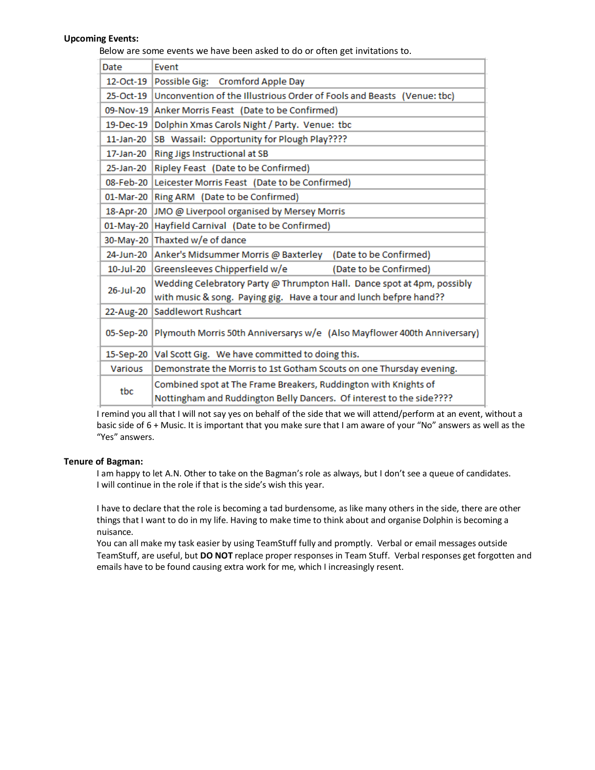### **Upcoming Events:**

Below are some events we have been asked to do or often get invitations to.

| Date           | Event                                                                                                                                         |  |  |  |  |  |  |
|----------------|-----------------------------------------------------------------------------------------------------------------------------------------------|--|--|--|--|--|--|
| 12-Oct-19      | Possible Gig: Cromford Apple Day                                                                                                              |  |  |  |  |  |  |
| 25-Oct-19      | Unconvention of the Illustrious Order of Fools and Beasts (Venue: tbc)                                                                        |  |  |  |  |  |  |
| 09-Nov-19      | Anker Morris Feast (Date to be Confirmed)                                                                                                     |  |  |  |  |  |  |
| 19-Dec-19      | Dolphin Xmas Carols Night / Party. Venue: tbc                                                                                                 |  |  |  |  |  |  |
| $11$ -Jan-20   | SB Wassail: Opportunity for Plough Play????                                                                                                   |  |  |  |  |  |  |
| 17-Jan-20      | Ring Jigs Instructional at SB                                                                                                                 |  |  |  |  |  |  |
| 25-Jan-20      | Ripley Feast (Date to be Confirmed)                                                                                                           |  |  |  |  |  |  |
| 08-Feb-20      | Leicester Morris Feast (Date to be Confirmed)                                                                                                 |  |  |  |  |  |  |
| 01-Mar-20      | Ring ARM (Date to be Confirmed)                                                                                                               |  |  |  |  |  |  |
| 18-Apr-20      | JMO @ Liverpool organised by Mersey Morris                                                                                                    |  |  |  |  |  |  |
| 01-May-20      | Hayfield Carnival (Date to be Confirmed)                                                                                                      |  |  |  |  |  |  |
| 30-May-20      | Thaxted w/e of dance                                                                                                                          |  |  |  |  |  |  |
| 24-Jun-20      | Anker's Midsummer Morris @ Baxterley<br>(Date to be Confirmed)                                                                                |  |  |  |  |  |  |
| 10-Jul-20      | Greensleeves Chipperfield w/e<br>(Date to be Confirmed)                                                                                       |  |  |  |  |  |  |
| 26-Jul-20      | Wedding Celebratory Party @ Thrumpton Hall. Dance spot at 4pm, possibly<br>with music & song. Paying gig. Have a tour and lunch befpre hand?? |  |  |  |  |  |  |
| 22-Aug-20      | Saddlewort Rushcart                                                                                                                           |  |  |  |  |  |  |
| 05-Sep-20      | Plymouth Morris 50th Anniversarys w/e (Also Mayflower 400th Anniversary)                                                                      |  |  |  |  |  |  |
| 15-Sep-20      | Val Scott Gig. We have committed to doing this.                                                                                               |  |  |  |  |  |  |
| <b>Various</b> | Demonstrate the Morris to 1st Gotham Scouts on one Thursday evening.                                                                          |  |  |  |  |  |  |
| tbc            | Combined spot at The Frame Breakers, Ruddington with Knights of<br>Nottingham and Ruddington Belly Dancers. Of interest to the side????       |  |  |  |  |  |  |

I remind you all that I will not say yes on behalf of the side that we will attend/perform at an event, without a basic side of 6 + Music. It is important that you make sure that I am aware of your "No" answers as well as the "Yes" answers.

#### **Tenure of Bagman:**

I am happy to let A.N. Other to take on the Bagman's role as always, but I don't see a queue of candidates. I will continue in the role if that is the side's wish this year.

I have to declare that the role is becoming a tad burdensome, as like many others in the side, there are other things that I want to do in my life. Having to make time to think about and organise Dolphin is becoming a nuisance.

You can all make my task easier by using TeamStuff fully and promptly. Verbal or email messages outside TeamStuff, are useful, but **DO NOT** replace proper responses in Team Stuff. Verbal responses get forgotten and emails have to be found causing extra work for me, which I increasingly resent.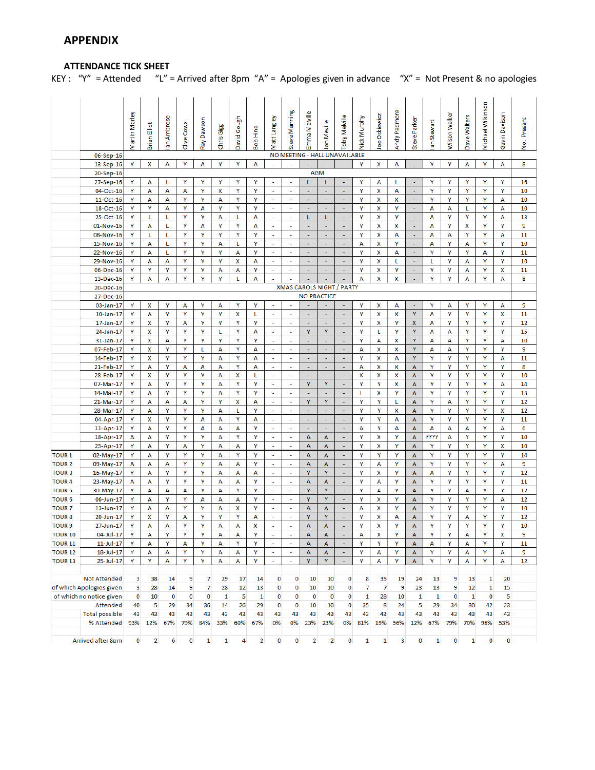# **ATTENDANCE TICK SHEET**

KEY : "Y" = Attended "L" = Arrived after 8pm "A" = Apologies given in advance "X" = Not Present & no apologies

|                                  |                          | Martin Morley | Brian Elliot   | an Ambrose | Clive Cowx | Ray Dawson   | Chris Gigg   | David Gough    | <b>Bob Hine</b> | Matt Langley                | Steve Manning                        | Emma Melville            | Jon Meville                      | Toby Melville                        | Nick Murphy    | Joe Oskiewicz  | Andy Padmore | Steve Parker   | an Stewart   | Wilson Walker | Dave Walters | Michael Wilkinson | Gavin Davison | Present<br>ġ |
|----------------------------------|--------------------------|---------------|----------------|------------|------------|--------------|--------------|----------------|-----------------|-----------------------------|--------------------------------------|--------------------------|----------------------------------|--------------------------------------|----------------|----------------|--------------|----------------|--------------|---------------|--------------|-------------------|---------------|--------------|
|                                  | 06-Sep-16                |               |                |            |            |              |              |                |                 |                             |                                      |                          | NO MEETING - HALL UNAVAILABLE    |                                      |                |                |              |                |              |               |              |                   |               |              |
|                                  | 13-Sep-16                | Y             | x              | А          | Y          | А            | Υ            | Υ              | А               | $\sim$                      | $\sim$                               |                          |                                  |                                      | Υ              | x              | А            | ٠              | Υ            | Υ             | А            | Υ                 | А             | 8            |
|                                  | 20-Sep-16                |               |                |            |            |              |              |                |                 |                             |                                      | <b>AGM</b>               |                                  |                                      |                |                |              |                |              |               |              |                   |               |              |
|                                  | 27-Sep-16                | Y             | А              | L          | Υ          | Υ            | Y            | Υ              | Υ               | $\omega$                    | ÷.                                   | ı.                       | L                                | $\blacksquare$                       | Y              | А              | L            | ÷,             | Υ            | Υ             | Y            | Υ                 | Υ             | 16           |
|                                  | 04-Oct-16                | Y             | А              | А          | А          | Υ            | x            | Υ              | Y               | $\sim$                      | $\sim$                               | $\overline{\phantom{a}}$ | $\sim$                           | $\sim$                               | Υ              | x              | А            | $\blacksquare$ | Υ            | Υ             | Υ            | Υ                 | Υ             | 10           |
|                                  | 11-Oct-16                | Y             | А              | A          | Υ          | Υ            | А            | Υ              | Y               | $\omega$                    | $\blacksquare$                       | $\blacksquare$           | $\blacksquare$                   | $\blacksquare$                       | Υ              | x              | x            | $\omega$       | Υ            | Υ             | Y            | Υ                 | Α             | 10           |
|                                  | 18-Oct-16                | Y             | Υ              | А          | Υ          | А            | Υ            | Υ              | Y               | $\sim$                      | $\sim$                               | $\overline{\phantom{a}}$ | $\overline{\phantom{a}}$         | $\blacksquare$                       | Y              | x              | Υ            | $\sim$         | A            | А             | L            | Υ                 | А             | 10           |
|                                  | 25-Oct-16                | Y             | L              | L          | Y          | Y            | А            | L              | А               | $\omega$                    | $\sim$                               | L                        | L.                               | $\blacksquare$                       | Y              | x              | Y            | $\omega$       | A            | Y             | Y            | Y                 | А             | 13           |
|                                  | 01-Nov-16                | Y             | А              | L          | Y          | А            | Υ            | Y              | А               | $\omega$                    | $\mathcal{L}_{\mathcal{A}}$          | $\sim$                   | $\sim$                           | $\omega$                             | Y              | x              | x            | $\omega$       | А            | Y             | x            | Y                 | Y             | 9            |
|                                  | 08-Nov-16                | Υ             | L              | L          | Υ          | Υ            | Y            | Υ              | Y               | $\mathcal{L}$               | $\mathcal{L}$                        | $\omega$                 | $\blacksquare$                   | $\omega$                             | Υ              | x              | А            | $\omega$       | А            | А             | Υ            | Υ                 | А             | 11           |
|                                  | 15-Nov-16                | Υ             | А              | L          | Υ          | Υ            | А            | L              | Y               | $\omega$<br>$\omega$        | $\mathbb{Z}^2$                       | $\sim$                   | $\blacksquare$                   | $\blacksquare$                       | А              | x              | Υ            | $\omega$       | А            | Υ             | А            | Y                 | Υ             | 10           |
|                                  | 22-Nov-16                | Y             | А              | L          | Υ<br>Y     | Y            | Y<br>Y       | А              | Υ               | $\omega$                    | $\omega$<br>$\omega$                 | $\Box$<br>÷,             | $\blacksquare$                   | $\omega$<br>$\overline{\phantom{a}}$ | Υ<br>Y         | x              | А            | $\omega$<br>ä, | Y            | Y             | Y            | А                 | Y             | 11           |
|                                  | 29-Nov-16<br>06-Dec-16   | Y<br>Υ        | А<br>Υ         | А<br>Y     | Y          | Υ<br>Y       | A            | х<br>А         | А<br>Y          | $\omega$                    | ÷.                                   | ÷,                       | $\blacksquare$<br>÷,             | ä,                                   | Y              | x<br>x         | L<br>Y       | ÷.             | L<br>Υ       | Y<br>Y        | А<br>А       | Υ<br>Υ            | Y<br>x        | 10<br>11     |
|                                  | 13-Dec-16                | Υ             | А              | А          | Υ          | Y            | Υ            | L              | А               | ÷                           |                                      |                          |                                  |                                      | А              | x              | x            |                | Υ            | Υ             | А            | Υ                 | А             | 8            |
|                                  | 20-Dec-16                |               |                |            |            |              |              |                |                 |                             |                                      |                          | <b>XMAS CAROLS NIGHT / PARTY</b> |                                      |                |                |              |                |              |               |              |                   |               |              |
|                                  | 27-Dec-16                |               |                |            |            |              |              |                |                 |                             |                                      |                          | <b>NO PRACTICE</b>               |                                      |                |                |              |                |              |               |              |                   |               |              |
|                                  | 03-Jan-17                | Y             | x              | Y          | А          | Y            | А            | Y              | Y               | $\omega$                    | ÷.                                   | ÷,                       | $\sim$                           | $\blacksquare$                       | Y              | x              | А            | $\omega$       | Y            | А             | Y            | Y                 | А             | 9            |
|                                  | $10$ -Jan- $17$          | Y             | А              | Y          | Y          | Y            | Y            | х              | L               | $\omega$                    | ÷.                                   | ÷.                       | ÷.                               | ÷.                                   | Y              | x              | x            | Y              | А            | Y             | Y            | Y                 | x             | 11           |
|                                  | 17-Jan-17                | Υ             | x              | Y          | А          | Υ            | Y            | Y              | Υ               | $\mathcal{L}$               | $\mathcal{L}$                        | $\sim$                   | ÷.                               | $\omega$                             | Υ              | x              | Υ            | X.             | А            | Y             | Y            | Υ                 | Y             | 12           |
|                                  | 24-Jan-17                | Υ             | x              | Y          | Υ          | Υ            | L            | Υ              | А               | $\mathbf{r}$                | $\mathbf{r}$                         | Y                        | Y                                | $\omega$                             | Υ              | L              | Υ            | Y              | А            | А             | Y            | Υ                 | Υ             | 15           |
|                                  | 31-Jan-17                | Υ             | x              | A          | Y          | Y            | Y            | Y              | Υ               | $\sim$                      | $\omega$                             | $\mathbb{Z}$             | $\omega$                         | $\omega$                             | Y              | A              | x            | Y              | A            | А             | Y            | Y                 | А             | 10           |
|                                  | 07-Feb-17                | Y             | x              | Y          | Y          | L            | А            | Y              | А               | $\omega$                    | ÷.                                   | $\sim$                   | $\sim$                           | $\overline{\phantom{a}}$             | А              | x              | x            | Y              | A            | А             | Y            | Y                 | Y             | 9            |
|                                  | 14-Feb-17                | Y             | х              | Y          | Y          | Y            | А            | Y              | А               | $\omega$                    | $\sim$                               | ÷.                       | ÷.                               | ÷.                                   | Y              | x              | А            | Y              | Y            | Y             | Y            | Y                 | А             | 11           |
|                                  | 21-Feb-17                | Υ             | А              | Υ          | А          | А            | А            | Υ              | А               | ×,                          | ٠                                    | ÷.                       | ÷                                | ÷                                    | А              | x              | x            | А              | Υ            | Υ             | Y            | Υ                 | Υ             | 8            |
|                                  | 28-Feb-17                | Y             | x              | Y          | Υ          | Υ            | А            | x              | L               | $\mathcal{L}$               | $\mathcal{L}$                        | ÷                        | $\omega$                         | $\omega$                             | x              | x              | x            | A              | Y            | Υ             | Y            | Υ                 | Υ             | 10           |
|                                  | 07-Mar-17                | Y             | А              | Y          | Υ          | Υ            | А            | Υ              | Υ               | $\omega$                    | $\sim$                               | Y                        | Y                                | $\omega$                             | Υ              | Y              | x            | А              | Υ            | Υ             | Υ            | Υ                 | А             | 14           |
|                                  | 14-Mar-17                | Υ             | А              | Y          | Y          | Y            | А            | Y              | Y               | $\omega$                    | $\omega$                             | $\mathbb{Z}$             | $\sim$                           | $\omega$                             | L              | x              | Y            | A              | Y            | Y             | Y            | Y                 | Y             | 13           |
|                                  | 21-Mar-17                | Y             | А              | А          | А          | Y            | Y            | x              | А               | $\omega$                    | ÷.                                   | Y                        | Y                                | $\overline{\phantom{a}}$             | Y              | Y              | L            | А              | Y            | А             | Y            | Y                 | Y             | 12           |
|                                  | 28-Mar-17                | Y             | А              | Y          | Y          | Υ            | А            | г              | Y               | $\omega$<br>÷.              | $\omega$                             | ÷.                       | ÷.<br>÷                          | ä,<br>٠                              | Y              | Y              | x            | А              | Y            | Y             | Y            | Y                 | x             | 12           |
|                                  | 04-Apr-17<br>11-Apr-17   | Υ<br>Υ        | x<br>А         | Υ<br>Y     | Υ<br>Y     | А<br>А       | А<br>А       | Υ<br>А         | А<br>Υ          | ÷.                          | ٠<br>÷.                              | $\sim$<br>÷.             | ÷                                | ÷                                    | Υ<br>А         | Υ<br>Y         | А<br>А       | А<br>A         | Υ<br>А       | Υ<br>А        | Y<br>А       | Υ<br>Υ            | Υ<br>А        | 11<br>6      |
|                                  | 18-Apr-17                | А             | А              | Υ          | Υ          | Υ            | А            | Υ              | Y               | $\mathbf{r}$                | $\blacksquare$                       | А                        | А                                | $\blacksquare$                       | Υ              | x              | Υ            | А              | ????         | А             | Y            | Υ                 | Y             | 10           |
|                                  | 25-Apr-17                | Y             | А              | Υ          | А          | Υ            | А            | А              | Y               | $\omega$                    | $\omega$                             | А                        | $\overline{A}$                   | $\blacksquare$                       | Υ              | x              | Υ            | A              | Y            | Υ             | Y            | Υ                 | x             | 10           |
| <b>TOUR 1</b>                    | 02-May-17                | Y             | А              | Y          | Υ          | Y            | А            | Y              | Y               | $\omega$                    | ÷                                    | А                        | А                                | $\omega$                             | Y              | Y              | Y            | А              | Υ            | Υ             | Y            | Υ                 | Y             | 14           |
| <b>TOUR 2</b>                    | 09-May-17                | А             | А              | А          | Υ          | Υ            | А            | А              | Y               | $\mathcal{L}_{\mathcal{A}}$ | ÷.                                   | A                        | A                                | $\blacksquare$                       | Y              | А              | Y            | A              | Y            | γ             | Y            | Υ                 | А             | 9            |
| <b>TOUR3</b>                     | 16-May-17                | Υ             | Α              | Υ          | Υ          | Υ            | А            | А              | A               | $\blacksquare$              | $\overline{\phantom{a}}$             | Y                        | Y                                | $\blacksquare$                       | Υ              | x              | Υ            | A              | А            | Υ             | Υ            | Υ                 | Υ             | 12           |
| <b>TOUR4</b>                     | 23-May-17                | А             | А              | Y          | Y          | Υ            | А            | А              | Y               | $\blacksquare$              | $\tilde{\phantom{a}}$                | А                        | А                                | $\omega$                             | Υ              | А              | Υ            | A              | Υ            | Υ             | Y            | Υ                 | Υ             | 11           |
| <b>TOUR 5</b>                    | 30-May-17                | Y             | А              | A          | А          | Y            | А            | Y              | Y               | $\omega$                    | $\omega$                             | Y                        | Y                                | $\omega$                             | Y              | А              | Y            | A              | Y            | Y             | А            | Y                 | Y             | 12           |
| <b>TOUR 6</b>                    | 06-Jun-17                | Υ             | А              | Y          | Y          | А            | А            | А              | Y               | $\omega$                    | $\omega$                             | Y                        | Y                                | $\omega$                             | Y              | x              | Y            | A              | Y            | Y             | Y            | Y                 | А             | 12           |
| <b>TOUR 7</b>                    | 13-Jun-17                | Y             | А              | А          | Υ          | Υ            | А            | x              | Y               | $\omega$                    | $\omega$                             | А                        | A                                | $\omega$                             | А              | x              | Y            | A              | Υ            | Υ             | Y            | Υ                 | Ÿ             | 10           |
| <b>TOUR 8</b>                    | 20-Jun-17                | Y             | x              | Y          | А          | Υ            | Y            | Y              | А               | $\mathcal{L}$               | $\mathbf{r}$                         | Y                        | Y                                | $\omega$                             | Υ              | x              | Α            | А              | Υ            | Υ             | A            | Υ                 | Υ             | 12           |
| <b>TOUR 9</b>                    | 27-Jun-17                | Υ             | А              | A          | Υ          | Υ            | A            | А              | X               | ÷                           |                                      | A                        | A                                |                                      | Y              | X              | Υ            | A              | Υ            | Y             | Ÿ            | Υ                 | Ÿ             | 10           |
| <b>TOUR 10</b>                   | 04-Jul-17                | Υ             | А              | Υ          | Υ          | Υ            | А            | А              | Υ               | $\omega$                    | $\mathbb{Z}^2$                       | A                        | A                                | $\blacksquare$                       | А              | x              | Υ            | А              | Υ            | Υ             | А            | Υ                 | x             | 9            |
| <b>TOUR 11</b>                   | $11$ -Jul-17             | Υ             | А              | Y          | A          | Υ            | А            | Υ              | Υ               | $\omega$                    | $\omega$                             | A                        | A                                | $\blacksquare$                       | Υ              | Υ              | Y            | A              | A            | Υ             | А            | Υ                 | Υ             | 11           |
| <b>TOUR 12</b><br><b>TOUR 13</b> | 18-Jul-17<br>25-Jul-17   | Y<br>Y        | А<br>Y         | А<br>А     | Y<br>Υ     | Y<br>Y       | А<br>А       | А<br>А         | Υ<br>Y          | $\blacksquare$<br>$\omega$  | $\overline{\phantom{a}}$<br>$\omega$ | A<br>Y                   | A<br>Y                           | ٠<br>$\omega$                        | Υ<br>Y         | А<br>А         | Y<br>Y       | A<br>A         | Υ<br>Y       | Y<br>Y        | А<br>А       | Υ<br>Y            | А<br>А        | 9<br>12      |
|                                  |                          |               |                |            |            |              |              |                |                 |                             |                                      |                          |                                  |                                      |                |                |              |                |              |               |              |                   |               |              |
|                                  | <b>Not Attended</b>      | 3             | 38             | 14         | 9          | 7            | 29           | 17             | 14              | 0                           | 0                                    | 10                       | 10                               | 0                                    | 8              | 35             | 19           | 24             | 13           | 9             | 13           | 1                 | 20            |              |
|                                  | of which Apologies given | 3             | 28             | 14         | 9          | 7            | 28           | 12             | 13              | 0                           | 0                                    | 10                       | 10                               | 0                                    | $\overline{7}$ | $\overline{7}$ | 9            | 23             | 13           | 9             | 12           | $\mathbf 1$       | 15            |              |
|                                  | of which no notice given | 0             | 10             | 0          | 0          | 0            | $\mathbf{1}$ | 5              | 1               | 0                           | 0                                    | 0                        | 0                                | 0                                    | 1              | 28             | 10           | $\mathbf{1}$   | 1            | 0             | $\mathbf{1}$ | 0                 | 5             |              |
|                                  | <b>Attended</b>          | 40            | 5              | 29         | 34         | 36           | 14           | 26             | 29              | $\mathbf 0$                 | 0                                    | 10                       | 10                               | 0                                    | 35             | 8              | 24           | 5              | 29           | 34            | 30           | 42                | 23            |              |
|                                  | <b>Total possible</b>    | 43            | 43             | 43         | 43         | 43           | 43           | 43             | 43              | 43                          | 43                                   | 43                       | 43                               | 43                                   | 43             | 43             | 43           | 43             | 43           | 43            | 43           | 43                | 43            |              |
|                                  | % Attended               | 93%           | 12%            | 67%        | 79%        | 84%          | 33%          | 60%            | 67%             | 0%                          | 0%                                   | 23%                      | 23%                              | 0%                                   | 81%            | 19%            | 56%          | 12%            | 67%          | 79%           | 70%          | 98%               | 53%           |              |
|                                  |                          |               |                |            |            |              |              |                |                 |                             |                                      |                          |                                  |                                      |                |                |              |                |              |               |              |                   |               |              |
|                                  | Arrived after 8pm        | $\bf{0}$      | $\overline{2}$ | 6          | 0          | $\mathbf{1}$ | $\mathbf 1$  | $\overline{4}$ | $\overline{2}$  | $\bf{0}$                    | 0                                    | $\overline{2}$           | $\overline{2}$                   | 0                                    | $\mathbf{1}$   | $\mathbf 1$    | 3            | $\mathbf 0$    | $\mathbf{1}$ | 0             | $\mathbf 1$  | $\bf{0}$          | 0             |              |